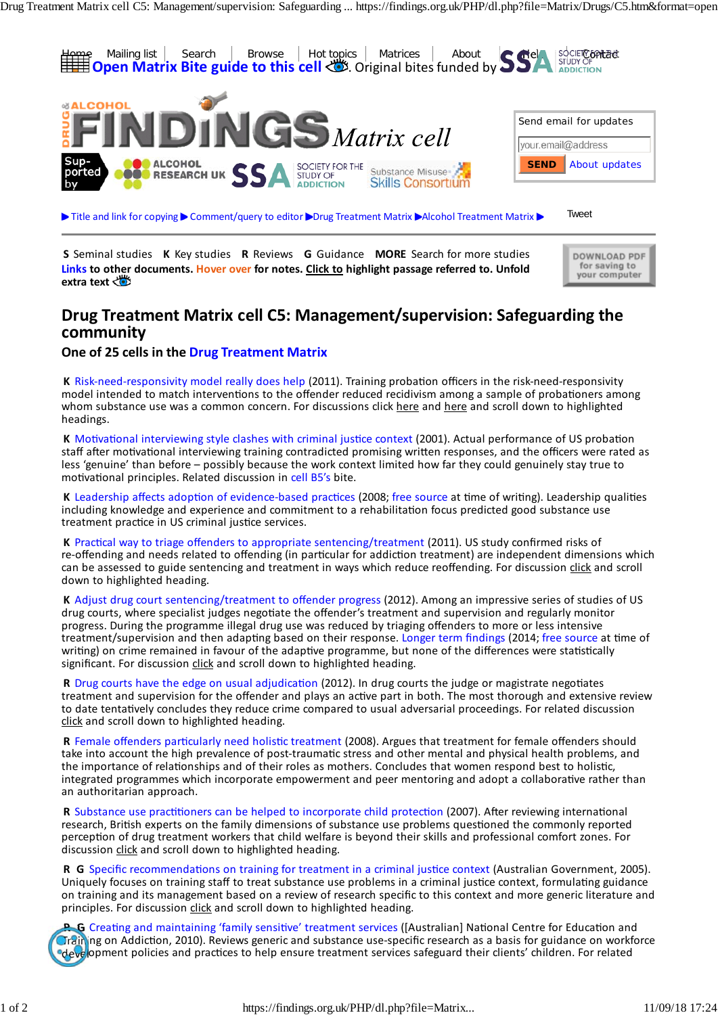

**S** Seminal studies **K** Key studies **R** Reviews **G** Guidance **MORE** Search for more studies **Links to other documents. Hover over for notes. Click to highlight passage referred to. Unfold** extra **text** 

#### **Drug Treatment Matrix cell C5: Management/supervision: Safeguarding the community**

#### **One of 25 cells in the Drug Treatment Matrix**

**K** Risk‐need‐responsivity model really does help (2011). Training probation officers in the risk‐need‐responsivity model intended to match interventions to the offender reduced recidivism among a sample of probationers among whom substance use was a common concern. For discussions click here and here and scroll down to highlighted headings.

**K** Motivational interviewing style clashes with criminal justice context (2001). Actual performance of US probation staff after motivational interviewing training contradicted promising written responses, and the officers were rated as less 'genuine' than before – possibly because the work context limited how far they could genuinely stay true to motivational principles. Related discussion in cell B5's bite.

**K** Leadership affects adoption of evidence‐based practices (2008; free source at time of writing). Leadership qualities including knowledge and experience and commitment to a rehabilitation focus predicted good substance use treatment practice in US criminal justice services.

**K** Practical way to triage offenders to appropriate sentencing/treatment (2011). US study confirmed risks of re‐offending and needs related to offending (in particular for addiction treatment) are independent dimensions which can be assessed to guide sentencing and treatment in ways which reduce reoffending. For discussion click and scroll down to highlighted heading.

**K** Adjust drug court sentencing/treatment to offender progress (2012). Among an impressive series of studies of US drug courts, where specialist judges negotiate the offender's treatment and supervision and regularly monitor progress. During the programme illegal drug use was reduced by triaging offenders to more or less intensive treatment/supervision and then adapting based on their response. Longer term findings (2014; free source at time of writing) on crime remained in favour of the adaptive programme, but none of the differences were statistically significant. For discussion click and scroll down to highlighted heading.

**R** Drug courts have the edge on usual adjudication (2012). In drug courts the judge or magistrate negotiates treatment and supervision for the offender and plays an active part in both. The most thorough and extensive review to date tentatively concludes they reduce crime compared to usual adversarial proceedings. For related discussion click and scroll down to highlighted heading.

**R** Female offenders particularly need holistic treatment (2008). Argues that treatment for female offenders should take into account the high prevalence of post-traumatic stress and other mental and physical health problems, and the importance of relationships and of their roles as mothers. Concludes that women respond best to holistic, integrated programmes which incorporate empowerment and peer mentoring and adopt a collaborative rather than an authoritarian approach.

**R** Substance use practitioners can be helped to incorporate child protection (2007). After reviewing international research, British experts on the family dimensions of substance use problems questioned the commonly reported perception of drug treatment workers that child welfare is beyond their skills and professional comfort zones. For discussion click and scroll down to highlighted heading.

**R G** Specific recommendations on training for treatment in a criminal justice context (Australian Government, 2005). Uniquely focuses on training staff to treat substance use problems in a criminal justice context, formulating guidance on training and its management based on a review of research specific to this context and more generic literature and principles. For discussion click and scroll down to highlighted heading.

**R G** Creating and maintaining 'family sensitive' treatment services ([Australian] National Centre for Education and Training on Addiction, 2010). Reviews generic and substance use-specific research as a basis for guidance on workforce **development policies and practices to help ensure treatment services safeguard their clients' children. For related** 

DOWNLOAD PDF for saving to<br>your computer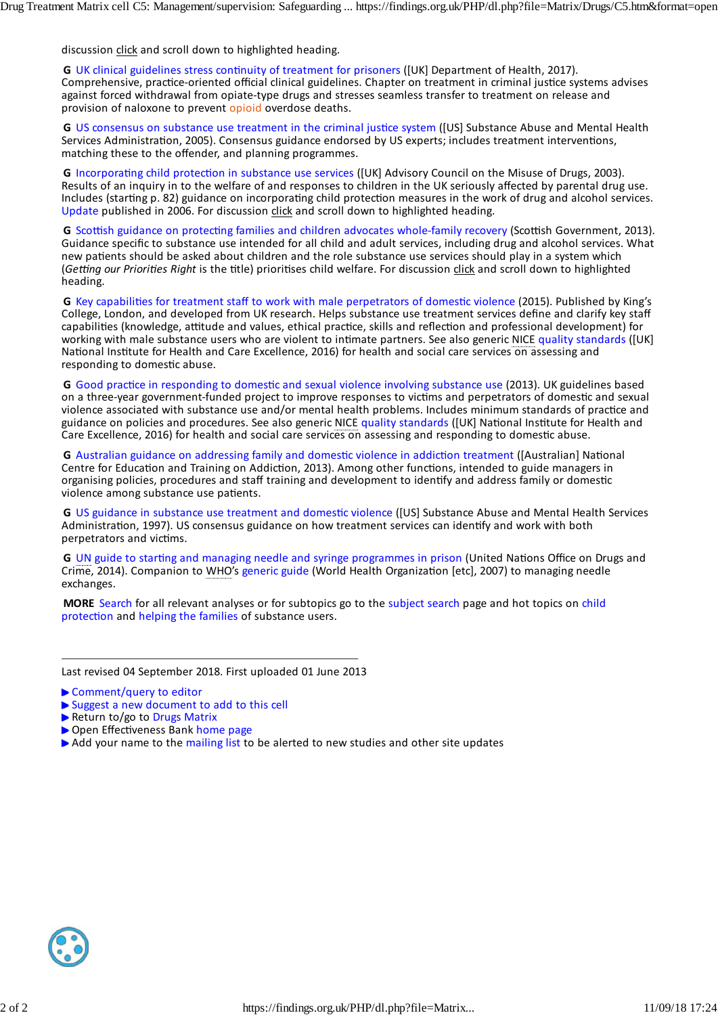discussion click and scroll down to highlighted heading.

**G** UK clinical guidelines stress continuity of treatment for prisoners ([UK] Department of Health, 2017). Comprehensive, practice‐oriented official clinical guidelines. Chapter on treatment in criminal justice systems advises against forced withdrawal from opiate‐type drugs and stresses seamless transfer to treatment on release and provision of naloxone to prevent opioid overdose deaths.

**G** US consensus on substance use treatment in the criminal justice system ([US] Substance Abuse and Mental Health Services Administration, 2005). Consensus guidance endorsed by US experts; includes treatment interventions, matching these to the offender, and planning programmes.

**G** Incorporating child protection in substance use services ([UK] Advisory Council on the Misuse of Drugs, 2003). Results of an inquiry in to the welfare of and responses to children in the UK seriously affected by parental drug use. Includes (starting p. 82) guidance on incorporating child protection measures in the work of drug and alcohol services. Update published in 2006. For discussion click and scroll down to highlighted heading.

**G** Scottish guidance on protecting families and children advocates whole‐family recovery (Scottish Government, 2013). Guidance specific to substance use intended for all child and adult services, including drug and alcohol services. What new patients should be asked about children and the role substance use services should play in a system which (*Getting our Priorities Right* is the title) prioritises child welfare. For discussion click and scroll down to highlighted heading.

**G** Key capabilities for treatment staff to work with male perpetrators of domestic violence (2015). Published by King's College, London, and developed from UK research. Helps substance use treatment services define and clarify key staff capabilities (knowledge, attitude and values, ethical practice, skills and reflection and professional development) for working with male substance users who are violent to intimate partners. See also generic NICE quality standards ([UK] National Institute for Health and Care Excellence, 2016) for health and social care services on assessing and responding to domestic abuse.

**G** Good practice in responding to domestic and sexual violence involving substance use (2013). UK guidelines based on a three‐year government‐funded project to improve responses to victims and perpetrators of domestic and sexual violence associated with substance use and/or mental health problems. Includes minimum standards of practice and guidance on policies and procedures. See also generic NICE quality standards ([UK] National Institute for Health and Care Excellence, 2016) for health and social care services on assessing and responding to domestic abuse.

**G** Australian guidance on addressing family and domestic violence in addiction treatment ([Australian] National Centre for Education and Training on Addiction, 2013). Among other functions, intended to guide managers in organising policies, procedures and staff training and development to identify and address family or domestic violence among substance use patients.

**G** US guidance in substance use treatment and domestic violence ([US] Substance Abuse and Mental Health Services Administration, 1997). US consensus guidance on how treatment services can identify and work with both perpetrators and victims.

**G** UN guide to starting and managing needle and syringe programmes in prison (United Nations Office on Drugs and Crime, 2014). Companion to WHO's generic guide (World Health Organization [etc], 2007) to managing needle exchanges.

**MORE** Search for all relevant analyses or for subtopics go to the subject search page and hot topics on child protection and helping the families of substance users.

Last revised 04 September 2018. First uploaded 01 June 2013

- ▶ Comment/query to editor
- Suggest a new document to add to this cell
- Return to/go to Drugs Matrix
- Open Effectiveness Bank home page
- Add your name to the mailing list to be alerted to new studies and other site updates

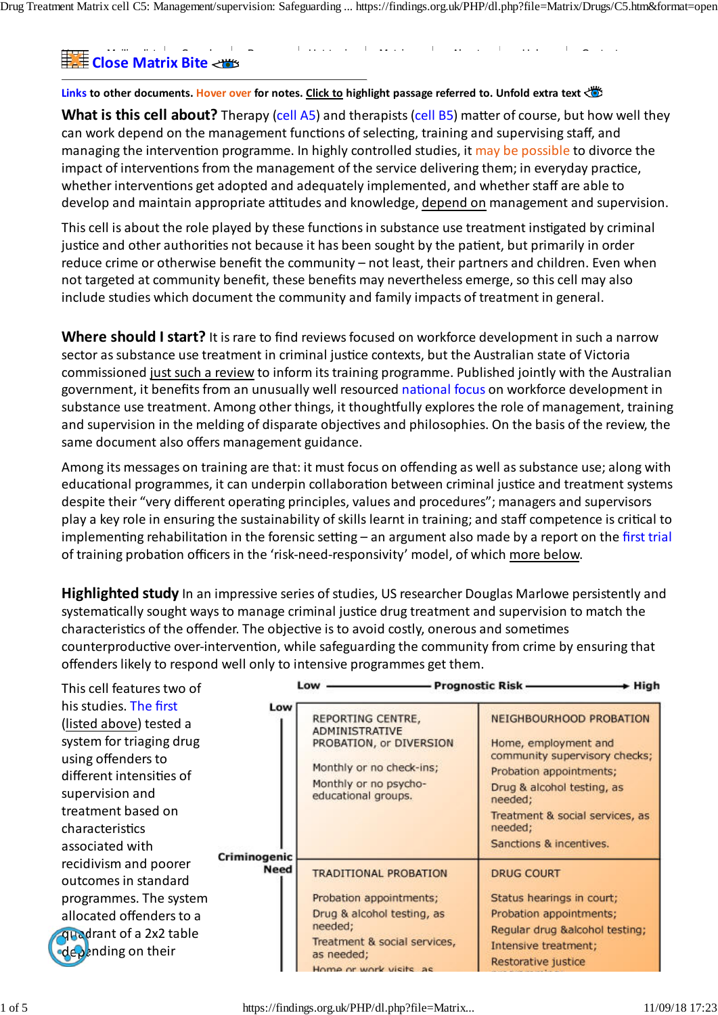Drug Treatment Matrix cell C5: Management/supervision: Safeguarding ... https://findings.org.uk/PHP/dl.php?file=Matrix/Drugs/C5.htm&format=open

# Home Mailing list Search Browse Hot topics Matrices About Help Contact **Close Matrix Bite**

**Links to other documents. Hover over for notes. Click to highlight passage referred to. Unfold extra text**

**What is this cell about?** Therapy (cell A5) and therapists (cell B5) matter of course, but how well they can work depend on the management functions of selecting, training and supervising staff, and managing the intervention programme. In highly controlled studies, it may be possible to divorce the impact of interventions from the management of the service delivering them; in everyday practice, whether interventions get adopted and adequately implemented, and whether staff are able to develop and maintain appropriate attitudes and knowledge, depend on management and supervision.

reduce crime or otherwise benefit the community – not least, their partners and children. Even when not targeted at community benefit, these benefits may nevertheless emerge, so this cell may also This cell is about the role played by these functions in substance use treatment instigated by criminal justice and other authorities not because it has been sought by the patient, but primarily in order include studies which document the community and family impacts of treatment in general.

Where should I start? It is rare to find reviews focused on workforce development in such a narrow **One of 25 cells in the** sector assubstance use treatment in criminal justice contexts, but the Australian state of Victoria government, it benefits from an unusually well resourced <mark>national focus on workforce development</mark> in substance use treatment. Among other things, it thoughtfully explores the role of management, training and supervision in the melding of disparate objectives and philosophies. On the basis of the review, the staff after motivation interviewing training contradicted promising written responses, and the officers were rated as  $\alpha$ commissioned just such a review to inform itstraining programme. Published jointly with the Australian same document also offers management guidance.

Among its messages on training are that: it must focus on offending as well as substance use; along with educational programmes, it can underpin collaboration between criminal justice and treatment systems despite them very american operating principies, values and procedures, maintensional super play a key role in ensuring the sustainability of skills learnt in training; and staff competence is critical to of training probation officers in the 'risk-need-responsivity' model, of which <u>more below</u>. despite their "very different operating principles, values and procedures"; managers and supervisors implementing rehabilitation in the forensic setting – an argument also made by a report on the first trial

systematically sought ways to manage criminal justice drug treatment and supervision to match the characteristics of the offender. The objective is to avoid costly, onerous and sometimes treatment supervision and the supervision and the supervision of the supervision on the supervision of the supervision of the supervision of the supervision of the supervision of the supervision of the supervision of the s counterproductive over-intervention, while safeguarding the community from crime by ensuring that offenders likely to respond well only to intensive programmes get them. **Highlighted study** In an impressive series of studies, US researcher Douglas Marlowe persistently and

| This cell features two of<br>his studies. The first<br>(listed above) tested a<br>system for triaging drug<br>using offenders to<br>different intensities of<br>supervision and<br>treatment based on<br>characteristics<br>associated with<br>recidivism and poorer<br>outcomes in standard<br>programmes. The system<br>allocated offenders to a<br>quadrant of a 2x2 table<br>depending on their | Low<br>Criminogenic<br><b>Need</b> | Low<br>REPORTING CENTRE,<br><b>ADMINISTRATIVE</b><br>PROBATION, or DIVERSION<br>Monthly or no check-ins;<br>Monthly or no psycho-<br>educational groups.                 | - Prognostic Risk —<br>$\div$ High<br>NEIGHBOURHOOD PROBATION<br>Home, employment and<br>community supervisory checks;<br>Probation appointments;<br>Drug & alcohol testing, as<br>needed;<br>Treatment & social services, as<br>needed;<br>Sanctions & incentives. |
|-----------------------------------------------------------------------------------------------------------------------------------------------------------------------------------------------------------------------------------------------------------------------------------------------------------------------------------------------------------------------------------------------------|------------------------------------|--------------------------------------------------------------------------------------------------------------------------------------------------------------------------|---------------------------------------------------------------------------------------------------------------------------------------------------------------------------------------------------------------------------------------------------------------------|
|                                                                                                                                                                                                                                                                                                                                                                                                     |                                    | <b>TRADITIONAL PROBATION</b><br>Probation appointments;<br>Drug & alcohol testing, as<br>needed:<br>Treatment & social services,<br>as needed;<br>Home or work vicite as | <b>DRUG COURT</b><br>Status hearings in court;<br>Probation appointments;<br>Regular drug &alcohol testing;<br>Intensive treatment;<br>Restorative justice                                                                                                          |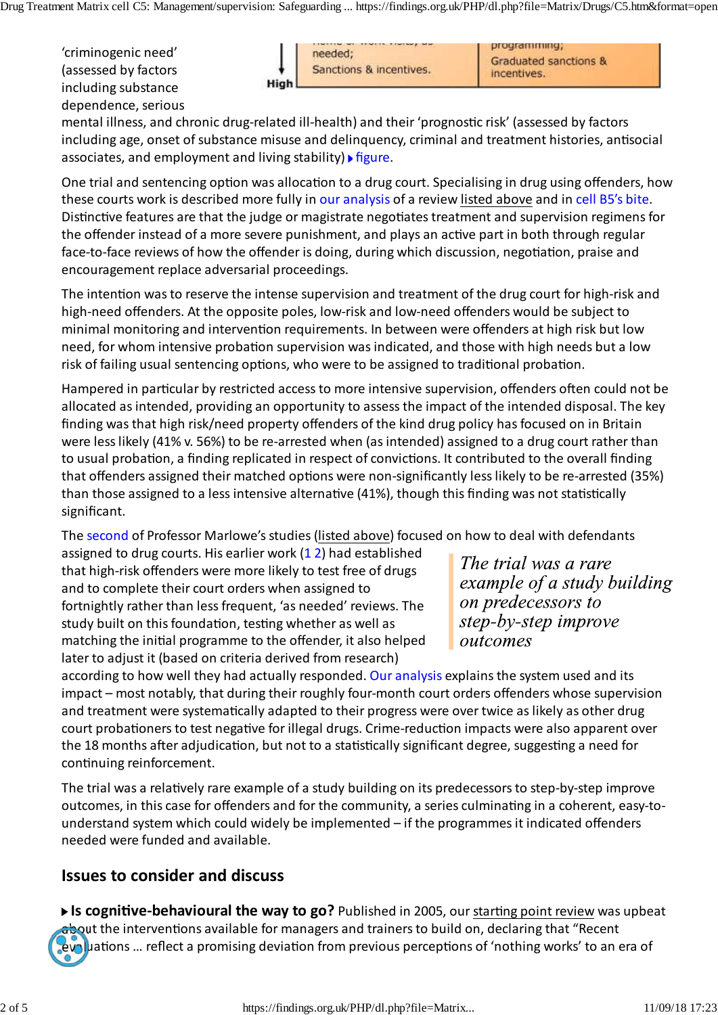'criminogenic need' including substance **and a substance** guidelines. Chapter on the chapter of the systems advises advises and a vis<br>Including substance against forced with drawal from opinate drugs and stresses seamless seamless transfer to transfer to treatment o dependence, serious (assessed by factors



programming; **Graduated sanctions &** 

including age, onset of substance misuse and delinquency, criminal and treatment histories, antisocial associates, and employment and living stability) **Figure**. mental illness, and chronic drug‐related ill‐health) and their 'prognostic risk' (assessed by factors

One trial and sentencing option was allocation to a drug court. Specialising in drug using offenders, how these courts work is described more fully in our analysis of a review listed above and in cell B5's bite. Distinctive features are that the judge or magistrate negotiates treatment and supervision regimens for  $\Gamma$  guidance specific to substance specific to substance use including drug and adult services, including  $\Gamma$ face‐to‐face reviews of how the offender is doing, during which discussion, negotiation, praise and encouragement replace adversarial proceedings. the offender instead of a more severe punishment, and plays an active part in both through regular

high-need offenders. At the opposite poles, low-risk and low-need offenders would be subject to minimal monitoring and intervention requirements. In between were offenders at high risk but low word for whom intensive probation supervision wes indicated and these who need, for whom intensive probation supervision was indicated, and those with high needs but a low risk of failing usual sentencing options, who were to be assigned to traditional probation. The intention wasto reserve the intense supervision and treatment of the drug court for high‐risk and

on a three wear governments to increase the interest to the complete response to the perspectrators of domestic and sexual sexual sexual sexual sexual sexual sexual sexual sexual sexual sexual sexual sexual sexual sexual s allocated as intended, providing an opportunity to assess the impact of the intended disposal. The key finding was that high risk/need property offenders of the kind drug policy has focused on in Britain were less likely (41% v. 56%) to be re-arrested when (as intended) assigned to a drug court rather than Centre for Education and Training on Addition, 2013). Among other functions, intended to guide managers intended to guide managers intended to guide managers intended to guide managers intended to guide managers intended t that offenders assigned their matched options were non‐significantly less likely to be re‐arrested (35%) than those assigned to a less intensive alternative (41%), though this finding was not statistically Hampered in particular by restricted accessto more intensive supervision, offenders often could not be to usual probation, a finding replicated in respect of convictions. It contributed to the overall finding significant.

Administration, 1997). US consensus guidance on how treatment services can identify and work with both The <mark>second</mark> of Professor Marlowe's studies (<u>listed above</u>) focused on how to deal with defendants

that high-risk offenders were more likely to test free of drugs and to complete their court orders when assigned to study built on this foundation, testing whether as well as assigned to drug courts. His earlier work (1 2) had established fortnightly rather than less frequent, 'as needed' reviews. The matching the initial programme to the offender, it also helped later to adjust it (based on criteria derived from research)

The trial was a rare example of a study building on predecessors to step-by-step improve outcomes

according to how well they had actually responded. Our analysis explains the system used and its impact – most notably, that during their roughly four‐month court orders offenders whose supervision and treatment were systematically adapted to their progress were over twice as likely as other drug court probationers to test negative for illegal drugs. Crime-reduction impacts were also apparent over the 18 months after adjudication, but not to a statistically significant degree, suggesting a need for continuing reinforcement.

The trial was a relatively rare example of a study building on its predecessors to step-by-step improve outcomes, in this case for offenders and for the community, a series culminating in a coherent, easy‐to‐ understand system which could widely be implemented - if the programmes it indicated offenders needed were funded and available.

# **Issues to consider and discuss**

**Is cognitive‐behavioural the way to go?** Published in 2005, ourstarting point review was upbeat about the interventions available for managers and trainers to build on, declaring that "Recent evaluations … reflect a promising deviation from previous perceptions of 'nothing works' to an era of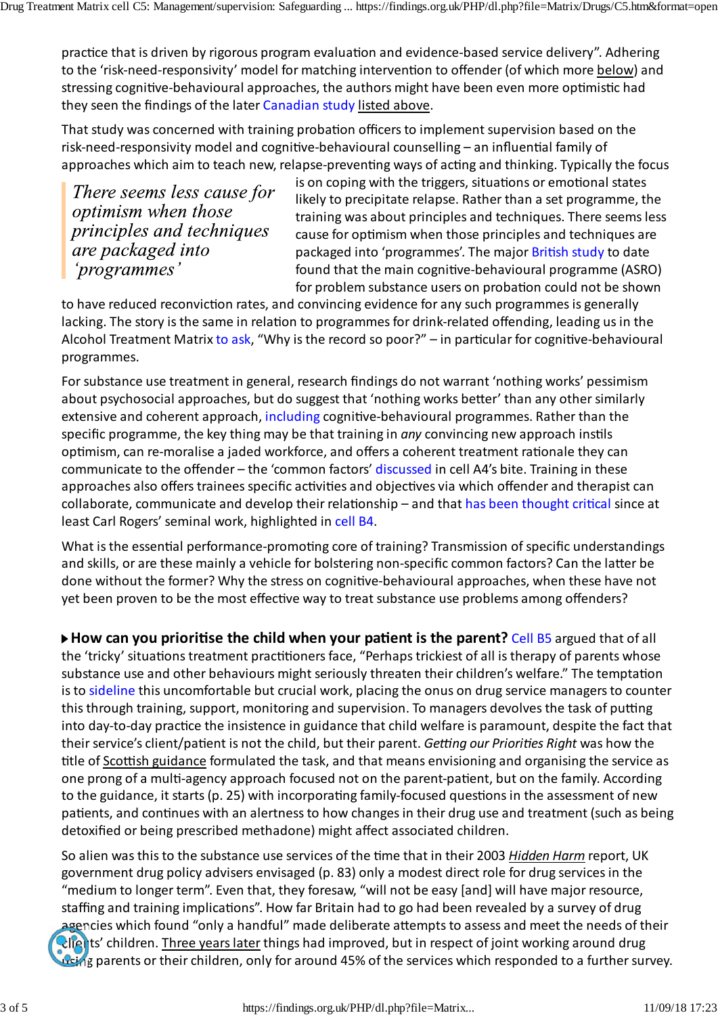practice that is driven by rigorous program evaluation and evidence‐based service delivery". Adhering to the 'risk‐need‐responsivity' model for matching intervention to offender (of which more below) and stressing cognitive‐behavioural approaches, the authors might have been even more optimistic had they seen the findings of the later Canadian study listed above.

That study was concerned with training probation officersto implement supervision based on the risk‐need‐responsivity model and cognitive‐behavioural counselling – an influential family of approaches which aim to teach new, relapse‐preventing ways of acting and thinking. Typically the focus

There seems less cause for optimism when those principles and techniques are packaged into 'programmes'

is on coping with the triggers, situations or emotional states likely to precipitate relapse. Rather than a set programme, the training was about principles and techniques. There seemsless cause for optimism when those principles and techniques are packaged into 'programmes'. The major British study to date found that the main cognitive‐behavioural programme (ASRO) for problem substance users on probation could not be shown

to have reduced reconviction rates, and convincing evidence for any such programmes is generally lacking. The story is the same in relation to programmes for drink-related offending, leading us in the Alcohol Treatment Matrix to ask, "Why is the record so poor?" – in particular for cognitive-behavioural programmes.

For substance use treatment in general, research findings do not warrant 'nothing works' pessimism about psychosocial approaches, but do suggest that 'nothing works better' than any other similarly extensive and coherent approach, including cognitive-behavioural programmes. Rather than the specific programme, the key thing may be that training in *any* convincing new approach instils optimism, can re‐moralise a jaded workforce, and offers a coherent treatment rationale they can communicate to the offender – the 'common factors' discussed in cell A4's bite. Training in these approaches also offers trainees specific activities and objectives via which offender and therapist can collaborate, communicate and develop their relationship – and that has been thought critical since at least Carl Rogers' seminal work, highlighted in cell B4.

What is the essential performance-promoting core of training? Transmission of specific understandings and skills, or are these mainly a vehicle for bolstering non‐specific common factors? Can the latter be done without the former? Why the stress on cognitive‐behavioural approaches, when these have not yet been proven to be the most effective way to treat substance use problems among offenders?

**How can you prioritise the child when your patient is the parent?** Cell B5 argued that of all the 'tricky' situations treatment practitioners face, "Perhaps trickiest of all is therapy of parents whose substance use and other behaviours might seriously threaten their children's welfare." The temptation is to sideline this uncomfortable but crucial work, placing the onus on drug service managers to counter this through training, support, monitoring and supervision. To managers devolves the task of putting into day‐to‐day practice the insistence in guidance that child welfare is paramount, despite the fact that their service's client/patient is not the child, but their parent. Getting our Priorities Right was how the title of Scottish guidance formulated the task, and that means envisioning and organising the service as one prong of a multi‐agency approach focused not on the parent‐patient, but on the family. According to the guidance, it starts (p. 25) with incorporating family-focused questions in the assessment of new patients, and continues with an alertness to how changes in their drug use and treatment (such as being detoxified or being prescribed methadone) might affect associated children.

So alien wasthisto the substance use services of the time that in their 2003 *Hidden Harm* report, UK government drug policy advisers envisaged (p. 83) only a modest direct role for drug servicesin the "medium to longer term". Even that, they foresaw, "will not be easy [and] will have major resource, staffing and training implications". How far Britain had to go had been revealed by a survey of drug agencies which found "only a handful" made deliberate attempts to assess and meet the needs of their **clients'** children. Three years later things had improved, but in respect of joint working around drug using parents or their children, only for around 45% of the services which responded to a further survey.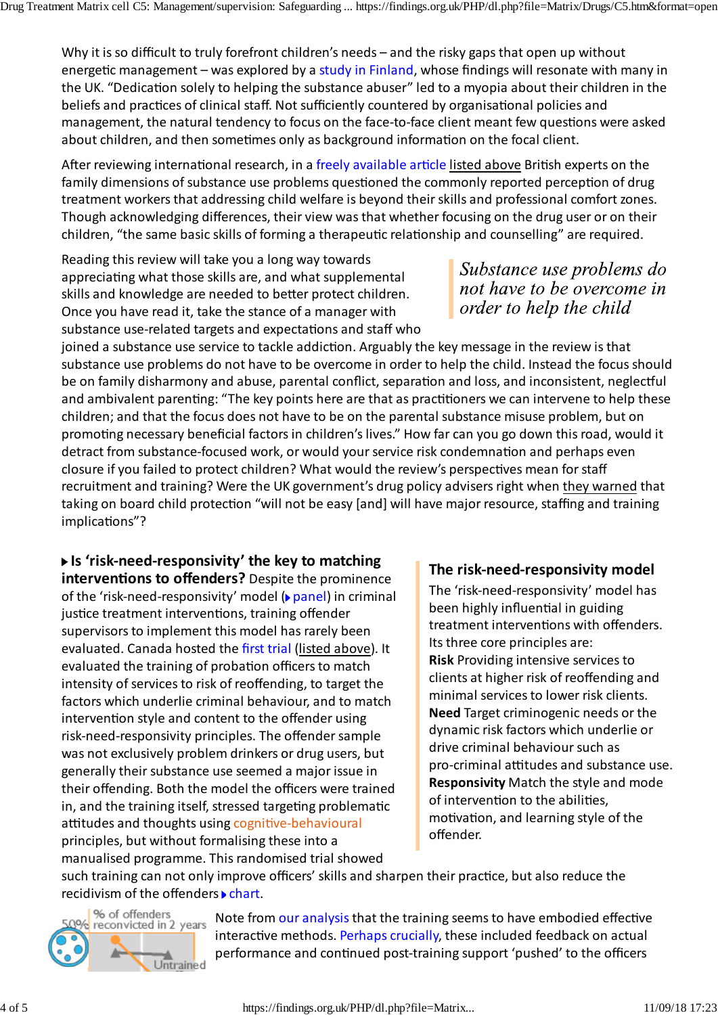Why it is so difficult to truly forefront children's needs – and the risky gaps that open up without energetic management - was explored by a study in Finland, whose findings will resonate with many in the UK. "Dedication solely to helping the substance abuser" led to a myopia about their children in the beliefs and practices of clinical staff. Not sufficiently countered by organisational policies and management, the natural tendency to focus on the face‐to‐face client meant few questions were asked about children, and then sometimes only as background information on the focal client.

After reviewing international research, in a freely available article listed above British experts on the family dimensions of substance use problems questioned the commonly reported perception of drug treatment workers that addressing child welfare is beyond their skills and professional comfort zones. Though acknowledging differences, their view wasthat whether focusing on the drug user or on their children, "the same basic skills of forming a therapeutic relationship and counselling" are required.

Reading this review will take you a long way towards appreciating what those skills are, and what supplemental skills and knowledge are needed to better protect children. Once you have read it, take the stance of a manager with substance use‐related targets and expectations and staff who

joined a substance use service to tackle addiction. Arguably the key message in the review isthat substance use problems do not have to be overcome in order to help the child. Instead the focusshould be on family disharmony and abuse, parental conflict, separation and loss, and inconsistent, neglectful and ambivalent parenting: "The key points here are that as practitioners we can intervene to help these children; and that the focus does not have to be on the parental substance misuse problem, but on promoting necessary beneficial factors in children's lives." How far can you go down this road, would it detract from substance‐focused work, or would yourservice risk condemnation and perhaps even closure if you failed to protect children? What would the review's perspectives mean forstaff recruitment and training? Were the UK government's drug policy advisers right when they warned that taking on board child protection "will not be easy [and] will have major resource, staffing and training implications"?

# **Is 'risk‐need‐responsivity' the key to matching**

**interventions to offenders?** Despite the prominence of the 'risk-need-responsivity' model (**▶**panel) in criminal justice treatment interventions, training offender supervisors to implement this model has rarely been evaluated. Canada hosted the first trial (listed above). It evaluated the training of probation officers to match intensity of services to risk of reoffending, to target the factors which underlie criminal behaviour, and to match intervention style and content to the offender using risk-need-responsivity principles. The offender sample was not exclusively problem drinkers or drug users, but generally their substance use seemed a major issue in their offending. Both the model the officers were trained in, and the training itself, stressed targeting problematic attitudes and thoughts using cognitive‐behavioural principles, but without formalising these into a manualised programme. Thisrandomised trial showed

### **The risk‐need‐responsivity model**

The 'risk‐need‐responsivity' model has been highly influential in guiding treatment interventions with offenders. Its three core principles are: **Risk** Providing intensive services to clients at higher risk of reoffending and minimal services to lower risk clients. **Need** Target criminogenic needs or the dynamic risk factors which underlie or drive criminal behaviour such as pro‐criminal attitudes and substance use. **Responsivity** Match the style and mode of intervention to the abilities, motivation, and learning style of the offender.

such training can not only improve officers' skills and sharpen their practice, but also reduce the recidivism of the offenders  $\blacktriangleright$  chart.



Note from our analysis that the training seems to have embodied effective interactive methods. Perhaps crucially, these included feedback on actual performance and continued post-training support 'pushed' to the officers

Substance use problems do not have to be overcome in order to help the child